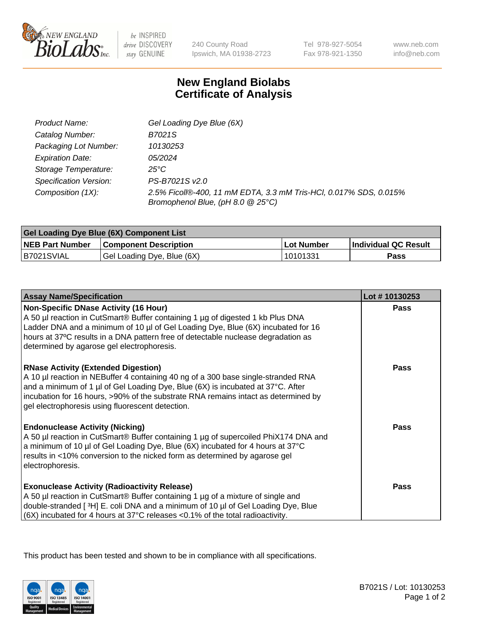

 $be$  INSPIRED drive DISCOVERY stay GENUINE

240 County Road Ipswich, MA 01938-2723 Tel 978-927-5054 Fax 978-921-1350 www.neb.com info@neb.com

## **New England Biolabs Certificate of Analysis**

| Product Name:                 | Gel Loading Dye Blue (6X)                                                                              |
|-------------------------------|--------------------------------------------------------------------------------------------------------|
| Catalog Number:               | B7021S                                                                                                 |
| Packaging Lot Number:         | 10130253                                                                                               |
| <b>Expiration Date:</b>       | 05/2024                                                                                                |
| Storage Temperature:          | $25^{\circ}$ C                                                                                         |
| <b>Specification Version:</b> | PS-B7021S v2.0                                                                                         |
| Composition (1X):             | 2.5% Ficoll®-400, 11 mM EDTA, 3.3 mM Tris-HCl, 0.017% SDS, 0.015%<br>Bromophenol Blue, (pH 8.0 @ 25°C) |

| <b>Gel Loading Dye Blue (6X) Component List</b> |                              |                   |                      |  |
|-------------------------------------------------|------------------------------|-------------------|----------------------|--|
| <b>NEB Part Number</b>                          | <b>Component Description</b> | <b>Lot Number</b> | Individual QC Result |  |
| B7021SVIAL                                      | Gel Loading Dye, Blue (6X)   | 10101331          | Pass                 |  |

| <b>Assay Name/Specification</b>                                                                                                                                                                                                                                                                                                                              | Lot #10130253 |
|--------------------------------------------------------------------------------------------------------------------------------------------------------------------------------------------------------------------------------------------------------------------------------------------------------------------------------------------------------------|---------------|
| <b>Non-Specific DNase Activity (16 Hour)</b><br>A 50 µl reaction in CutSmart® Buffer containing 1 µg of digested 1 kb Plus DNA<br>Ladder DNA and a minimum of 10 µl of Gel Loading Dye, Blue (6X) incubated for 16<br>hours at 37°C results in a DNA pattern free of detectable nuclease degradation as<br>determined by agarose gel electrophoresis.        | <b>Pass</b>   |
| <b>RNase Activity (Extended Digestion)</b><br>A 10 µl reaction in NEBuffer 4 containing 40 ng of a 300 base single-stranded RNA<br>and a minimum of 1 µl of Gel Loading Dye, Blue (6X) is incubated at 37°C. After<br>incubation for 16 hours, >90% of the substrate RNA remains intact as determined by<br>gel electrophoresis using fluorescent detection. | <b>Pass</b>   |
| <b>Endonuclease Activity (Nicking)</b><br>A 50 µl reaction in CutSmart® Buffer containing 1 µg of supercoiled PhiX174 DNA and<br>a minimum of 10 µl of Gel Loading Dye, Blue (6X) incubated for 4 hours at 37°C<br>results in <10% conversion to the nicked form as determined by agarose gel<br>electrophoresis.                                            | <b>Pass</b>   |
| <b>Exonuclease Activity (Radioactivity Release)</b><br>A 50 µl reaction in CutSmart® Buffer containing 1 µg of a mixture of single and<br>double-stranded [3H] E. coli DNA and a minimum of 10 µl of Gel Loading Dye, Blue<br>$ (6X)$ incubated for 4 hours at 37°C releases <0.1% of the total radioactivity.                                               | <b>Pass</b>   |

This product has been tested and shown to be in compliance with all specifications.